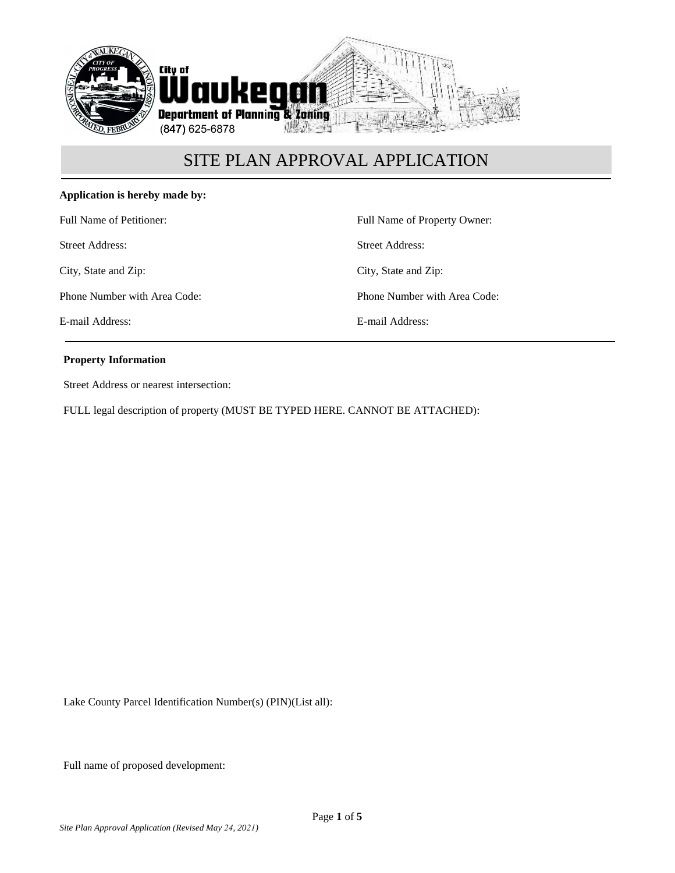

### **Application is hereby made by:**

Full Name of Petitioner:

Street Address:

City, State and Zip:

Phone Number with Area Code:

E-mail Address:

Full Name of Property Owner: Street Address: City, State and Zip: Phone Number with Area Code:

E-mail Address:

#### **Property Information**

Street Address or nearest intersection:

FULL legal description of property (MUST BE TYPED HERE. CANNOT BE ATTACHED):

Lake County Parcel Identification Number(s) (PIN)(List all):

Full name of proposed development: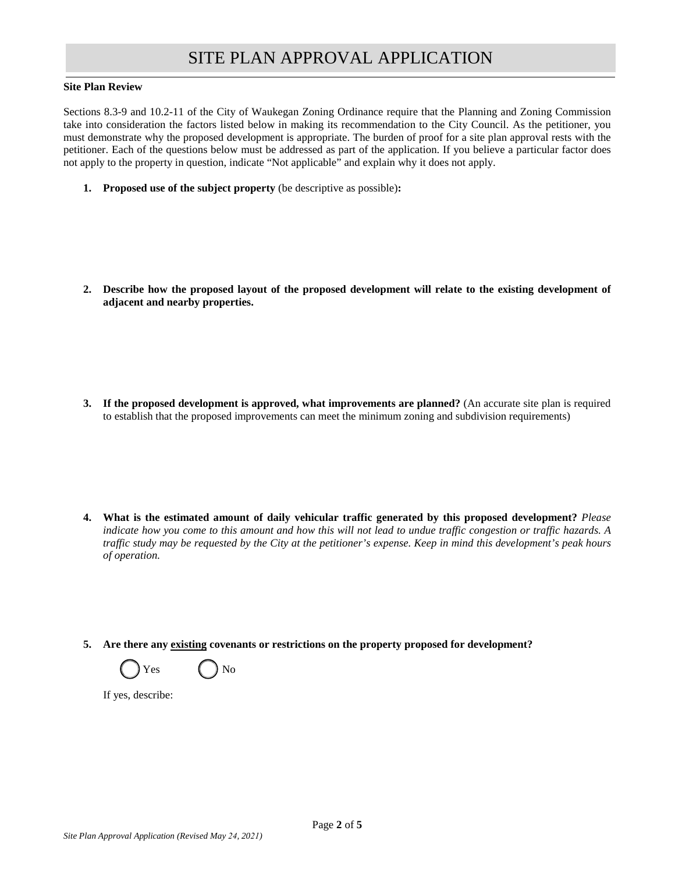#### **Site Plan Review**

Sections 8.3-9 and 10.2-11 of the City of Waukegan Zoning Ordinance require that the Planning and Zoning Commission take into consideration the factors listed below in making its recommendation to the City Council. As the petitioner, you must demonstrate why the proposed development is appropriate. The burden of proof for a site plan approval rests with the petitioner. Each of the questions below must be addressed as part of the application. If you believe a particular factor does not apply to the property in question, indicate "Not applicable" and explain why it does not apply.

**1. Proposed use of the subject property** (be descriptive as possible)**:**

**2. Describe how the proposed layout of the proposed development will relate to the existing development of adjacent and nearby properties.**

**3. If the proposed development is approved, what improvements are planned?** (An accurate site plan is required to establish that the proposed improvements can meet the minimum zoning and subdivision requirements)

- **4. What is the estimated amount of daily vehicular traffic generated by this proposed development?** *Please indicate how you come to this amount and how this will not lead to undue traffic congestion or traffic hazards. A traffic study may be requested by the City at the petitioner's expense. Keep in mind this development's peak hours of operation.*
- **5. Are there any existing covenants or restrictions on the property proposed for development?**



If yes, describe: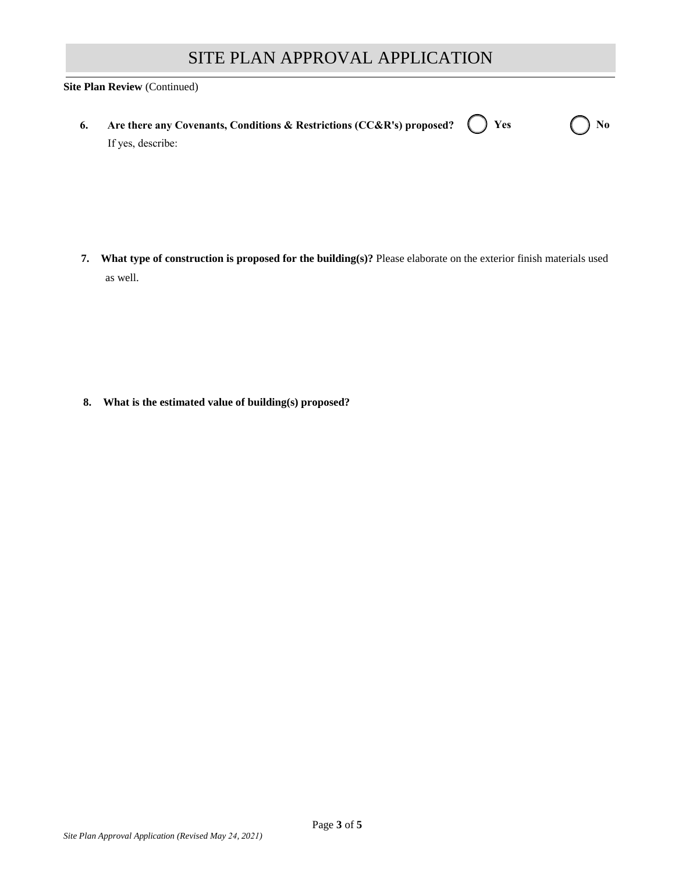#### **Site Plan Review** (Continued)

| 6. Are there any Covenants, Conditions & Restrictions (CC&R's) proposed? $\bigcirc$ Yes |  | $\bigcap$ No |
|-----------------------------------------------------------------------------------------|--|--------------|
| If yes, describe:                                                                       |  |              |

**7. What type of construction is proposed for the building(s)?** Please elaborate on the exterior finish materials used as well.

**8. What is the estimated value of building(s) proposed?**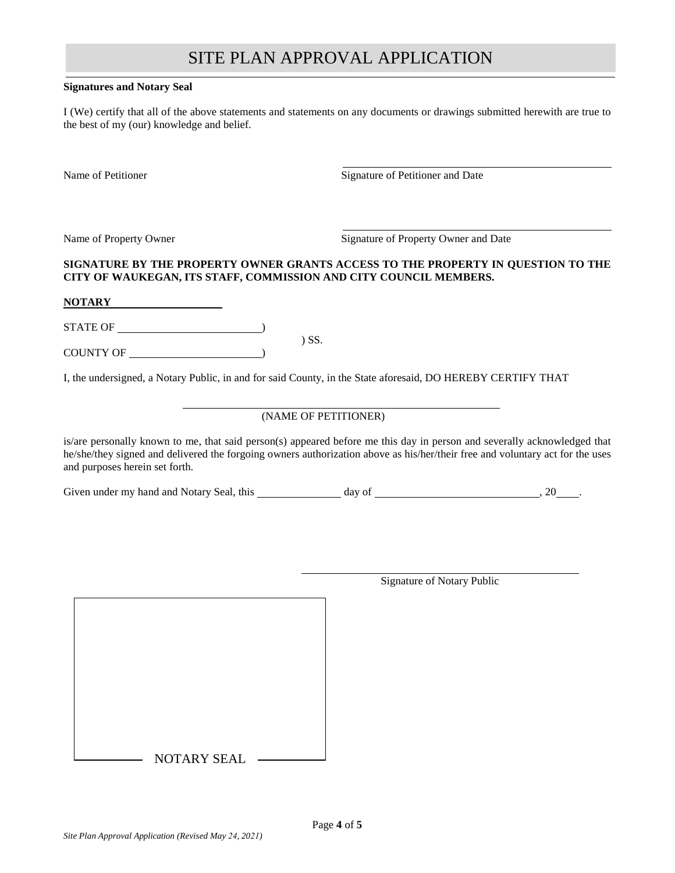#### **Signatures and Notary Seal**

I (We) certify that all of the above statements and statements on any documents or drawings submitted herewith are true to the best of my (our) knowledge and belief.

Name of Petitioner Signature of Petitioner and Date

Name of Property Owner Signature of Property Owner and Date

### **SIGNATURE BY THE PROPERTY OWNER GRANTS ACCESS TO THE PROPERTY IN QUESTION TO THE CITY OF WAUKEGAN, ITS STAFF, COMMISSION AND CITY COUNCIL MEMBERS.**

#### **NOTARY**

STATE OF  $\qquad \qquad$ 

COUNTY OF )

I, the undersigned, a Notary Public, in and for said County, in the State aforesaid, DO HEREBY CERTIFY THAT

) SS.

## (NAME OF PETITIONER)

is/are personally known to me, that said person(s) appeared before me this day in person and severally acknowledged that he/she/they signed and delivered the forgoing owners authorization above as his/her/their free and voluntary act for the uses and purposes herein set forth.

Given under my hand and Notary Seal, this day of , 20 .

 $-$  NOTARY SEAL  $-$ 

Signature of Notary Public